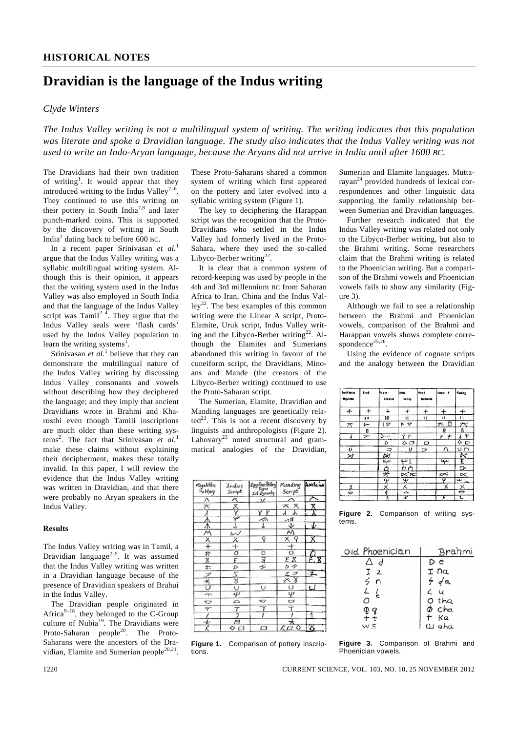# **Dravidian is the language of the Indus writing**

## *Clyde Winters*

*The Indus Valley writing is not a multilingual system of writing. The writing indicates that this population was literate and spoke a Dravidian language. The study also indicates that the Indus Valley writing was not used to write an Indo-Aryan language, because the Aryans did not arrive in India until after 1600 BC.* 

The Dravidians had their own tradition of writing<sup>1</sup>. It would appear that they introduced writing to the Indus Valley<sup>2-1</sup> They continued to use this writing on their pottery in South India<sup>7,8</sup> and later punch-marked coins. This is supported by the discovery of writing in South India<sup>2</sup> dating back to before 600 BC.

 In a recent paper Srinivasan *et al.*<sup>1</sup> argue that the Indus Valley writing was a syllabic multilingual writing system. Although this is their opinion, it appears that the writing system used in the Indus Valley was also employed in South India and that the language of the Indus Valley script was Tamil<sup>2-4</sup>. They argue that the Indus Valley seals were 'flash cards' used by the Indus Valley population to learn the writing systems<sup>1</sup>.

Srinivasan *et al.*<sup>1</sup> believe that they can demonstrate the multilingual nature of the Indus Valley writing by discussing Indus Valley consonants and vowels without describing how they deciphered the language; and they imply that ancient Dravidians wrote in Brahmi and Kharosthi even though Tamili inscriptions are much older than these writing systems<sup>2</sup>. The fact that Srinivasan *et al.*<sup>1</sup> make these claims without explaining their decipherment, makes these totally invalid. In this paper, I will review the evidence that the Indus Valley writing was written in Dravidian, and that there were probably no Aryan speakers in the Indus Valley.

#### **Results**

The Indus Valley writing was in Tamil, a Dravidian language<sup>2–5</sup>. It was assumed that the Indus Valley writing was written in a Dravidian language because of the presence of Dravidian speakers of Brahui in the Indus Valley.

 The Dravidian people originated in Africa $9-18$ , they belonged to the C-Group culture of Nubia<sup>19</sup>. The Dravidians were Proto-Saharan people<sup>20</sup>. The Proto-Saharans were the ancestors of the Dravidian, Elamite and Sumerian people<sup>20,21</sup>.

These Proto-Saharans shared a common system of writing which first appeared on the pottery and later evolved into a syllabic writing system (Figure 1).

 The key to deciphering the Harappan script was the recognition that the Proto-Dravidians who settled in the Indus Valley had formerly lived in the Proto-Sahara, where they used the so-called Libyco-Berber writing<sup>22</sup>.

 It is clear that a common system of record-keeping was used by people in the 4th and 3rd millennium BC from Saharan Africa to Iran, China and the Indus Val- $\text{lev}^{22}$ . The best examples of this common writing were the Linear A script, Proto-Elamite, Uruk script, Indus Valley writing and the Libyco-Berber writing<sup>22</sup>. Although the Elamites and Sumerians abandoned this writing in favour of the cuneiform script, the Dravidians, Minoans and Mande (the creators of the Libyco-Berber writing) continued to use the Proto-Saharan script.

 The Sumerian, Elamite, Dravidian and Manding languages are genetically rela $ted<sup>21</sup>$ . This is not a recent discovery by linguists and anthropologists (Figure 2). Lahovary<sup>23</sup> noted structural and grammatical analogies of the Dravidian,

| Megalithic<br>Potter | Indus<br>Seript | Egyptier Pottery<br>Signs<br>Ist Dynasty | Manding<br>Script | Anotalian      |
|----------------------|-----------------|------------------------------------------|-------------------|----------------|
| Λ                    |                 | $\checkmark$                             |                   |                |
| ᄌ                    | ×               |                                          | * x               |                |
|                      |                 | ΥY                                       | Т                 |                |
| $\hat{\Phi}$         | w               | 灬                                        | ⊿1                |                |
| λ                    |                 | ↓                                        | ↓                 | v.             |
| Μ                    | ∼               |                                          | Μ                 |                |
| х                    | х               | Ŷ                                        | X 9               |                |
| $\div$               | ⊹               |                                          | $\overline{+}$    |                |
| #                    | О               | ο                                        | ō                 | $\overline{a}$ |
| X                    | E               | 7                                        | ΕΧ                | E. X           |
| ╪                    | þ               | ェ                                        | v<br>ь            |                |
| フ                    | Z               |                                          | ZΙ                | $\overline{z}$ |
| ∗                    | স্ত             |                                          | * 8               |                |
| U                    | υ               | υ                                        | U                 | ↵              |
| ኍ                    | ιµ              |                                          | Ψ                 |                |
| U                    | △               | ℺                                        | U                 |                |
| $\tau$               |                 |                                          | T                 |                |
|                      |                 |                                          |                   |                |
| $\star$              | A               |                                          |                   |                |
|                      | ◇ ⊏ਾ            | п                                        | ◇                 |                |

**Figure 1.** Comparison of pottery inscriptions.

Sumerian and Elamite languages. Muttarayan<sup>24</sup> provided hundreds of lexical correspondences and other linguistic data supporting the family relationship between Sumerian and Dravidian languages.

 Further research indicated that the Indus Valley writing was related not only to the Libyco-Berber writing, but also to the Brahmi writing. Some researchers claim that the Brahmi writing is related to the Phoenician writing. But a comparison of the Brahmi vowels and Phoenician vowels fails to show any similarity (Figure 3).

 Although we fail to see a relationship between the Brahmi and Phoenician vowels, comparison of the Brahmi and Harappan vowels shows complete correspondence<sup>25,26</sup>.

 Using the evidence of cognate scripts and the analogy between the Dravidian

| <b>Badh Indian</b><br><b>Begaliebic</b> | le.t      | Proto-<br>(Tamile        | letts.<br>Salte p | <br>Sertestet  | luna a    | Enting                        |
|-----------------------------------------|-----------|--------------------------|-------------------|----------------|-----------|-------------------------------|
| +                                       | $\ddot{}$ | $\div$                   | f                 | $^{+}$         | $\ddot{}$ | $\pm$                         |
|                                         |           | 90                       | $\blacksquare$    | Ω              | п         | и                             |
| $\pi$                                   | ►         | $( \nabla$               | ÞР                |                | πθ        | $\overline{\mathcal{L}}$      |
|                                         | B         |                          |                   |                | R         | B                             |
| $\lambda$                               | ⇁         |                          | ΥF                |                | rΨ        | dΥ                            |
|                                         |           | $\Diamond$               | ہ ہ               | D              |           | $\circ$ o                     |
| υ                                       |           |                          | U                 | $\overline{z}$ | $\Omega$  | ח ט                           |
| $\bowtie$                               |           | $\frac{1}{2}$            |                   |                |           |                               |
|                                         |           | ىب                       | ۴ ت               |                | ببها      | $\frac{\mathbb{N}}{\epsilon}$ |
|                                         |           |                          | ÒÔ                |                |           | D                             |
|                                         |           | 윶                        | ⋉ж                |                | $\sim$    | ⋉                             |
|                                         |           | $\overline{\mathcal{X}}$ | 史                 |                | Ψ         | ړ س                           |
| x                                       |           | $\times$                 | Х                 |                | ×.        | $\times$                      |
| Ó                                       |           | 0                        | $\Rightarrow$     |                |           | O                             |
|                                         |           | 3                        | z                 |                | 3         | 2                             |

**Figure 2.** Comparison of writing systems.

| old Phoenician | Brahmi          |
|----------------|-----------------|
| Δd             | Dε              |
| Ιz             | I na            |
| 5 n            | 9/9a            |
| $\frac{1}{2}$  | $\angle$ $\cup$ |
| О              | 0 tha           |
|                | $\phi$ cha      |
|                | † Ka<br>W gha   |
|                |                 |

**Figure 3.** Comparison of Brahmi and Phoenician vowels.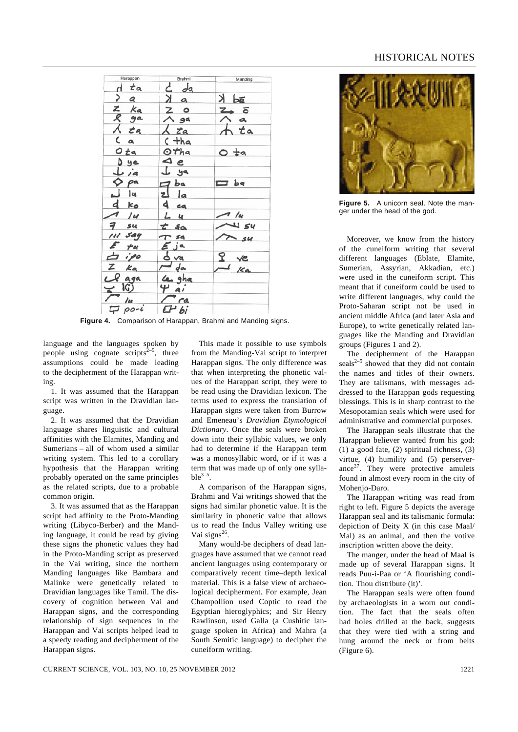| Harappan                              | Brahmi                      | Manding                         |
|---------------------------------------|-----------------------------|---------------------------------|
| $d$ $ta$                              | $d$ da                      |                                 |
| $\begin{array}{cc} 2 & a \end{array}$ | $X$ a                       | $\frac{3}{50}$ K                |
|                                       | $Z$ o                       | 7.5                             |
|                                       | $\wedge$ ga                 |                                 |
| z Ka<br>R ga<br>L ta                  | $\lambda$ ta                | $A$ ta                          |
| Ca                                    | $c + ha$                    |                                 |
| Ota                                   | Otha                        | $O$ ta                          |
| Dye                                   | $\triangle$ e               |                                 |
| $\perp$ ia                            | $\downarrow$ ya             |                                 |
| $\phi$ pa                             | $\n  a\n$                   | $\Box$ pd                       |
| <u> 14</u>                            | zl la                       |                                 |
| $d$ $k_0$                             | $d$ ca                      |                                 |
| $\Lambda$ 14                          | $L$ 4                       | $\sqrt{u}$                      |
| $7 \text{ su}$                        | $t$ for                     | $\sim$ $\omega$                 |
| 111 say                               | $T$ sa                      | $\sqrt{3}$ su                   |
| $E_{\tau}$                            |                             |                                 |
| $\overline{p}$ ipo                    | $E$ ja<br>d.va              |                                 |
| $Z$ $ka$                              | $\overline{\phantom{a}}$ da | $\frac{9}{16}$ $\frac{76}{169}$ |
| cl aga                                | Les gha                     |                                 |
| $\frac{1}{u}$                         | 4a                          |                                 |
|                                       | $\Gamma$ ra                 |                                 |
| $\nabla$ po-i                         | CH bi                       |                                 |

**Figure 4.** Comparison of Harappan, Brahmi and Manding signs.

language and the languages spoken by people using cognate scripts $2^{-5}$ , three assumptions could be made leading to the decipherment of the Harappan writing.

 1. It was assumed that the Harappan script was written in the Dravidian language.

 2. It was assumed that the Dravidian language shares linguistic and cultural affinities with the Elamites, Manding and Sumerians – all of whom used a similar writing system. This led to a corollary hypothesis that the Harappan writing probably operated on the same principles as the related scripts, due to a probable common origin.

 3. It was assumed that as the Harappan script had affinity to the Proto-Manding writing (Libyco-Berber) and the Manding language, it could be read by giving these signs the phonetic values they had in the Proto-Manding script as preserved in the Vai writing, since the northern Manding languages like Bambara and Malinke were genetically related to Dravidian languages like Tamil. The discovery of cognition between Vai and Harappan signs, and the corresponding relationship of sign sequences in the Harappan and Vai scripts helped lead to a speedy reading and decipherment of the Harappan signs.

 This made it possible to use symbols from the Manding-Vai script to interpret Harappan signs. The only difference was that when interpreting the phonetic values of the Harappan script, they were to be read using the Dravidian lexicon. The terms used to express the translation of Harappan signs were taken from Burrow and Emeneau's *Dravidian Etymological Dictionary*. Once the seals were broken down into their syllabic values, we only had to determine if the Harappan term was a monosyllabic word, or if it was a term that was made up of only one sylla $hle^{3-5}$ .

 A comparison of the Harappan signs, Brahmi and Vai writings showed that the signs had similar phonetic value. It is the similarity in phonetic value that allows us to read the Indus Valley writing use Vai signs $^{26}$ .

 Many would-be deciphers of dead languages have assumed that we cannot read ancient languages using contemporary or comparatively recent time–depth lexical material. This is a false view of archaeological decipherment. For example, Jean Champollion used Coptic to read the Egyptian hieroglyphics; and Sir Henry Rawlinson, used Galla (a Cushitic language spoken in Africa) and Mahra (a South Semitic language) to decipher the cuneiform writing.

## HISTORICAL NOTES



**Figure 5.** A unicorn seal. Note the manger under the head of the god.

 Moreover, we know from the history of the cuneiform writing that several different languages (Eblate, Elamite, Sumerian, Assyrian, Akkadian, etc.) were used in the cuneiform script. This meant that if cuneiform could be used to write different languages, why could the Proto-Saharan script not be used in ancient middle Africa (and later Asia and Europe), to write genetically related languages like the Manding and Dravidian groups (Figures 1 and 2).

 The decipherment of the Harappan seals $2-5$  showed that they did not contain the names and titles of their owners. They are talismans, with messages addressed to the Harappan gods requesting blessings. This is in sharp contrast to the Mesopotamian seals which were used for administrative and commercial purposes.

 The Harappan seals illustrate that the Harappan believer wanted from his god: (1) a good fate, (2) spiritual richness, (3) virtue, (4) humility and (5) perserverance $27$ . They were protective amulets found in almost every room in the city of Mohenjo-Daro.

 The Harappan writing was read from right to left. Figure 5 depicts the average Harappan seal and its talismanic formula: depiction of Deity X (in this case Maal/ Mal) as an animal, and then the votive inscription written above the deity.

 The manger, under the head of Maal is made up of several Harappan signs. It reads Puu-i-Paa or 'A flourishing condition. Thou distribute (it)'.

 The Harappan seals were often found by archaeologists in a worn out condition. The fact that the seals often had holes drilled at the back, suggests that they were tied with a string and hung around the neck or from belts (Figure 6).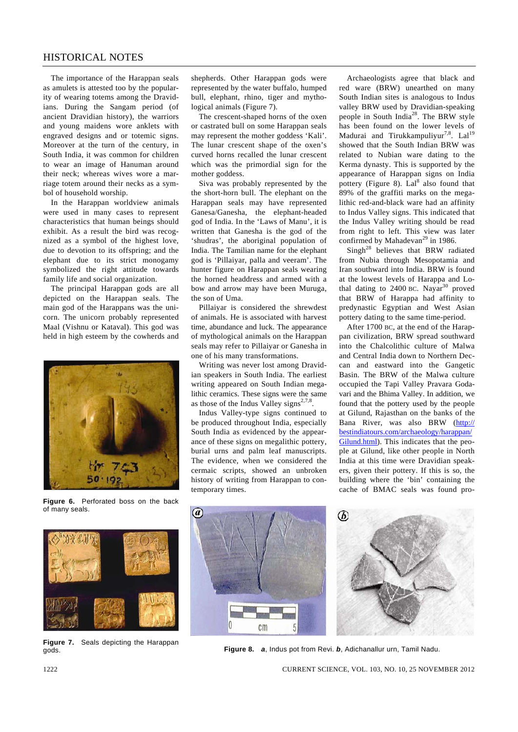# HISTORICAL NOTES

 The importance of the Harappan seals as amulets is attested too by the popularity of wearing totems among the Dravidians. During the Sangam period (of ancient Dravidian history), the warriors and young maidens wore anklets with engraved designs and or totemic signs. Moreover at the turn of the century, in South India, it was common for children to wear an image of Hanuman around their neck; whereas wives wore a marriage totem around their necks as a symbol of household worship.

 In the Harappan worldview animals were used in many cases to represent characteristics that human beings should exhibit. As a result the bird was recognized as a symbol of the highest love, due to devotion to its offspring; and the elephant due to its strict monogamy symbolized the right attitude towards family life and social organization.

 The principal Harappan gods are all depicted on the Harappan seals. The main god of the Harappans was the unicorn. The unicorn probably represented Maal (Vishnu or Kataval). This god was held in high esteem by the cowherds and



**Figure 6.** Perforated boss on the back of many seals.



**Figure 7.** Seals depicting the Harappan gods.

shepherds. Other Harappan gods were represented by the water buffalo, humped bull, elephant, rhino, tiger and mythological animals (Figure 7).

 The crescent-shaped horns of the oxen or castrated bull on some Harappan seals may represent the mother goddess 'Kali'. The lunar crescent shape of the oxen's curved horns recalled the lunar crescent which was the primordial sign for the mother goddess.

 Siva was probably represented by the the short-horn bull. The elephant on the Harappan seals may have represented Ganesa/Ganesha, the elephant-headed god of India. In the 'Laws of Manu', it is written that Ganesha is the god of the 'shudras', the aboriginal population of India. The Tamilian name for the elephant god is 'Pillaiyar, palla and veeram'. The hunter figure on Harappan seals wearing the horned headdress and armed with a bow and arrow may have been Muruga, the son of Uma.

 Pillaiyar is considered the shrewdest of animals. He is associated with harvest time, abundance and luck. The appearance of mythological animals on the Harappan seals may refer to Pillaiyar or Ganesha in one of his many transformations.

 Writing was never lost among Dravidian speakers in South India. The earliest writing appeared on South Indian megalithic ceramics. These signs were the same as those of the Indus Valley signs<sup>2,7,8</sup>.

 Indus Valley-type signs continued to be produced throughout India, especially South India as evidenced by the appearance of these signs on megalithic pottery, burial urns and palm leaf manuscripts. The evidence, when we considered the cermaic scripts, showed an unbroken history of writing from Harappan to contemporary times.

 Archaeologists agree that black and red ware (BRW) unearthed on many South Indian sites is analogous to Indus valley BRW used by Dravidian-speaking people in South India28. The BRW style has been found on the lower levels of Madurai and Tirukkampuliyur<sup>7,8</sup>. Lal<sup>19</sup> showed that the South Indian BRW was related to Nubian ware dating to the Kerma dynasty. This is supported by the appearance of Harappan signs on India pottery (Figure 8).  $La<sup>8</sup>$  also found that 89% of the graffiti marks on the megalithic red-and-black ware had an affinity to Indus Valley signs. This indicated that the Indus Valley writing should be read from right to left. This view was later confirmed by Mahadevan<sup>29</sup> in 1986.

 Singh28 believes that BRW radiated from Nubia through Mesopotamia and Iran southward into India. BRW is found at the lowest levels of Harappa and Lothal dating to  $2400$  BC. Nayar<sup>30</sup> proved that BRW of Harappa had affinity to predynastic Egyptian and West Asian pottery dating to the same time-period.

 After 1700 BC, at the end of the Harappan civilization, BRW spread southward into the Chalcolithic culture of Malwa and Central India down to Northern Deccan and eastward into the Gangetic Basin. The BRW of the Malwa culture occupied the Tapi Valley Pravara Godavari and the Bhima Valley. In addition, we found that the pottery used by the people at Gilund, Rajasthan on the banks of the Bana River, was also BRW (http:// bestindiatours.com/archaeology/harappan/ Gilund.html). This indicates that the people at Gilund, like other people in North India at this time were Dravidian speakers, given their pottery. If this is so, the building where the 'bin' containing the cache of BMAC seals was found pro-



**Figure 8.** *a*, Indus pot from Revi. *b*, Adichanallur urn, Tamil Nadu.

6

1222 CURRENT SCIENCE, VOL. 103, NO. 10, 25 NOVEMBER 2012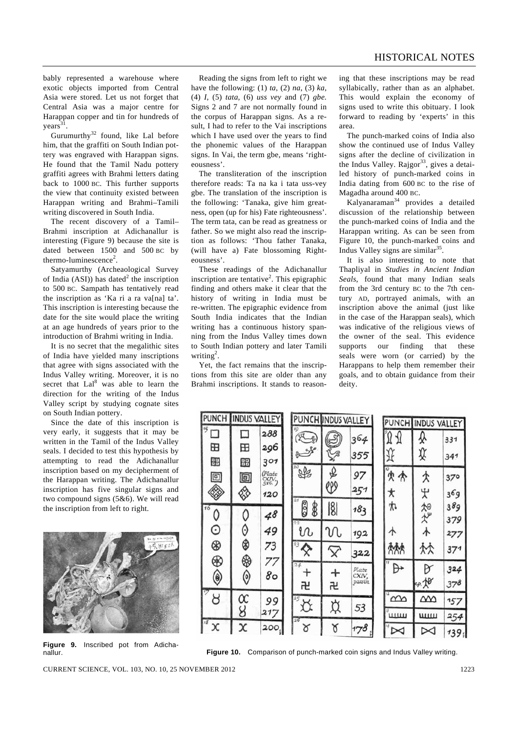bably represented a warehouse where exotic objects imported from Central Asia were stored. Let us not forget that Central Asia was a major centre for Harappan copper and tin for hundreds of  $years<sup>31</sup>$ .

Gurumurthy<sup>32</sup> found, like Lal before him, that the graffiti on South Indian pottery was engraved with Harappan signs. He found that the Tamil Nadu pottery graffiti agrees with Brahmi letters dating back to 1000 BC. This further supports the view that continuity existed between Harappan writing and Brahmi–Tamili writing discovered in South India.

 The recent discovery of a Tamil– Brahmi inscription at Adichanallur is interesting (Figure 9) because the site is dated between 1500 and 500 BC by thermo-luminescence<sup>2</sup>.

 Satyamurthy (Archeaological Survey of India  $(ASI)$ ) has dated<sup>2</sup> the inscription to 500 BC. Sampath has tentatively read the inscription as 'Ka ri a ra valnal ta'. This inscription is interesting because the date for the site would place the writing at an age hundreds of years prior to the introduction of Brahmi writing in India.

 It is no secret that the megalithic sites of India have yielded many inscriptions that agree with signs associated with the Indus Valley writing. Moreover, it is no secret that Lal<sup>8</sup> was able to learn the direction for the writing of the Indus Valley script by studying cognate sites on South Indian pottery.

 Since the date of this inscription is very early, it suggests that it may be written in the Tamil of the Indus Valley seals. I decided to test this hypothesis by attempting to read the Adichanallur inscription based on my decipherment of the Harappan writing. The Adichanallur inscription has five singular signs and two compound signs (5&6). We will read the inscription from left to right.



**Figure 9.** Inscribed pot from Adichanallur.

 Reading the signs from left to right we have the following: (1) *ta*, (2) *na*, (3) *ka*, (4) *I*, (5) *tata*, (6) *uss vey* and (7) *gbe.* Signs 2 and 7 are not normally found in the corpus of Harappan signs. As a result, I had to refer to the Vai inscriptions which I have used over the years to find the phonemic values of the Harappan signs. In Vai, the term gbe, means 'righteousness'.

 The transliteration of the inscription therefore reads: Ta na ka i tata uss-vey gbe. The translation of the inscription is the following: 'Tanaka, give him greatness, open (up for his) Fate righteousness'. The term tata, can be read as greatness or father. So we might also read the inscription as follows: 'Thou father Tanaka, (will have a) Fate blossoming Righteousness'.

 These readings of the Adichanallur inscription are tentative<sup>2</sup>. This epigraphic finding and others make it clear that the history of writing in India must be re-written. The epigraphic evidence from South India indicates that the Indian writing has a continuous history spanning from the Indus Valley times down to South Indian pottery and later Tamili writing<sup>2</sup>.

 Yet, the fact remains that the inscriptions from this site are older than any Brahmi inscriptions. It stands to reasoning that these inscriptions may be read syllabically, rather than as an alphabet. This would explain the economy of signs used to write this obituary. I look forward to reading by 'experts' in this area.

 The punch-marked coins of India also show the continued use of Indus Valley signs after the decline of civilization in the Indus Valley. Rajgor<sup>33</sup>, gives a detailed history of punch-marked coins in India dating from 600 BC to the rise of Magadha around 400 BC.

Kalyanaraman34 provides a detailed discussion of the relationship between the punch-marked coins of India and the Harappan writing. As can be seen from Figure 10, the punch-marked coins and Indus Valley signs are similar $35$ .

 It is also interesting to note that Thapliyal in *Studies in Ancient Indian Seals*, found that many Indian seals from the 3rd century BC to the 7th century AD, portrayed animals, with an inscription above the animal (just like in the case of the Harappan seals), which was indicative of the religious views of the owner of the seal. This evidence supports our finding that these seals were worn (or carried) by the Harappans to help them remember their goals, and to obtain guidance from their deity.

| <b>PUNCH</b>  | <b>INDUS VALLEY</b> |                                                   | PUNCH INDUS VALLEY |                | PUNCH INDUS VALLEY |                  |          |          |                 |
|---------------|---------------------|---------------------------------------------------|--------------------|----------------|--------------------|------------------|----------|----------|-----------------|
| 15            |                     | 288                                               |                    | 1Q             | $\approx$          | 364              |          | ₰        | 331             |
| ⊞             | 田                   | 296                                               |                    |                | $\sqrt{3}$         | 355              |          | ⇕        | 341             |
| 噩             | 嘂                   | 301                                               |                    | $20^{1}$       |                    |                  | X)       |          |                 |
| 回             | 回                   | (Plate<br>$\frac{\text{C}\text{X} \text{N}}{516}$ |                    | SP             | ₽<br>999           | 97               | ጵ<br>↟   | ℷ        | 37°             |
| <b>REST</b>   | ED                  | 120                                               |                    | 21             |                    | 251              | ★        | ᡃᡫ       | 369             |
| 16            |                     | 48                                                |                    | 8<br>88        | $\frac{18}{18}$    | 183              | ₩        | 加水       | 389             |
| ⊙             |                     |                                                   |                    | 22             |                    |                  |          |          | 379             |
|               | 0                   | 49                                                |                    | r<br>23        | N                  | 192              | ᠰ        | ∧        | 277             |
| ⊛             |                     | 73                                                |                    | 父              | $\times$           | 322              | ለአል      | ጵጵ       | 37 <sup>1</sup> |
| ⊛             | ⊕                   | 77                                                |                    | 24<br>$\,{}^+$ | $\ddot{}$          | Plate            | 11<br>⊬  | B        | 324             |
| $\circledast$ | 0                   | 80                                                |                    | ਜ਼             | 卍                  | CXIV,<br>passim. |          | cp. Jo   | 378             |
| 8             | $\alpha$            | 99                                                |                    | 25             | ₿                  | 53               | $\infty$ | $\infty$ | 157             |
| 18            | 8                   | 217                                               |                    | 26             |                    |                  | шш       | щш       | 254             |
| χ             | X                   | 200                                               |                    | ୪              | ัช                 | 178              |          |          | $139_1$         |

**Figure 10.** Comparison of punch-marked coin signs and Indus Valley writing.

CURRENT SCIENCE, VOL. 103, NO. 10, 25 NOVEMBER 2012 1223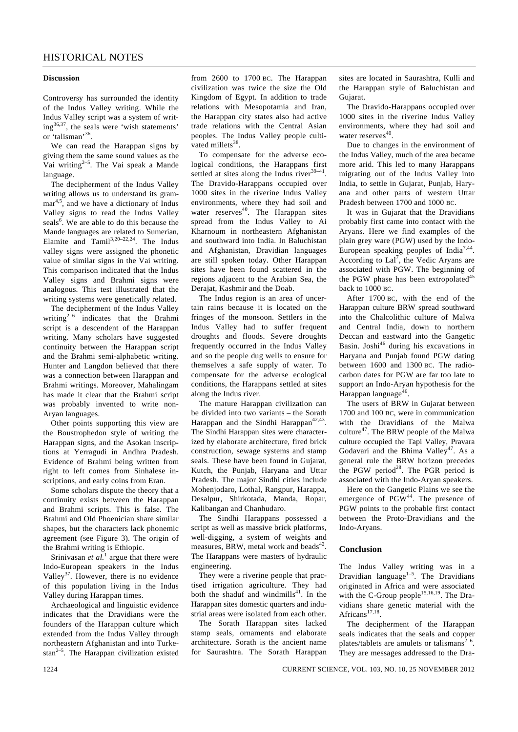#### **Discussion**

Controversy has surrounded the identity of the Indus Valley writing. While the Indus Valley script was a system of writ $ing^{36,37}$ , the seals were 'wish statements' or 'talisman'<sup>36</sup>

 We can read the Harappan signs by giving them the same sound values as the Vai writing $2-5$ . The Vai speak a Mande language.

 The decipherment of the Indus Valley writing allows us to understand its grammar<sup>4,5</sup>, and we have a dictionary of Indus Valley signs to read the Indus Valley seals $<sup>6</sup>$ . We are able to do this because the</sup> Mande languages are related to Sumerian, Elamite and Tamil<sup>3,20–22,24</sup>. The Indus valley signs were assigned the phonetic value of similar signs in the Vai writing. This comparison indicated that the Indus Valley signs and Brahmi signs were analogous. This test illustrated that the writing systems were genetically related.

 The decipherment of the Indus Valley writing<sup>2-6</sup> indicates that the Brahmi script is a descendent of the Harappan writing. Many scholars have suggested continuity between the Harappan script and the Brahmi semi-alphabetic writing. Hunter and Langdon believed that there was a connection between Harappan and Brahmi writings. Moreover, Mahalingam has made it clear that the Brahmi script was probably invented to write non-Aryan languages.

 Other points supporting this view are the Boustrophedon style of writing the Harappan signs, and the Asokan inscriptions at Yerragudi in Andhra Pradesh. Evidence of Brahmi being written from right to left comes from Sinhalese inscriptions, and early coins from Eran.

 Some scholars dispute the theory that a continuity exists between the Harappan and Brahmi scripts. This is false. The Brahmi and Old Phoenician share similar shapes, but the characters lack phonemic agreement (see Figure 3). The origin of the Brahmi writing is Ethiopic.

Srinivasan *et al.*<sup>1</sup> argue that there were Indo-European speakers in the Indus Valley<sup>37</sup>. However, there is no evidence of this population living in the Indus Valley during Harappan times.

 Archaeological and linguistic evidence indicates that the Dravidians were the founders of the Harappan culture which extended from the Indus Valley through northeastern Afghanistan and into Turkestan<sup>2-5</sup>. The Harappan civilization existed

from 2600 to 1700 BC. The Harappan civilization was twice the size the Old Kingdom of Egypt. In addition to trade relations with Mesopotamia and Iran, the Harappan city states also had active trade relations with the Central Asian peoples. The Indus Valley people cultivated millets $38$ .

 To compensate for the adverse ecological conditions, the Harappans first settled at sites along the Indus river $39-41$ . The Dravido-Harappans occupied over 1000 sites in the riverine Indus Valley environments, where they had soil and water reserves $40$ . The Harappan sites spread from the Indus Valley to Ai Kharnoum in northeastern Afghanistan and southward into India. In Baluchistan and Afghanistan, Dravidian languages are still spoken today. Other Harappan sites have been found scattered in the regions adjacent to the Arabian Sea, the Derajat, Kashmir and the Doab.

 The Indus region is an area of uncertain rains because it is located on the fringes of the monsoon. Settlers in the Indus Valley had to suffer frequent droughts and floods. Severe droughts frequently occurred in the Indus Valley and so the people dug wells to ensure for themselves a safe supply of water. To compensate for the adverse ecological conditions, the Harappans settled at sites along the Indus river.

 The mature Harappan civilization can be divided into two variants – the Sorath Harappan and the Sindhi Harappan<sup>42,43</sup> The Sindhi Harappan sites were characterized by elaborate architecture, fired brick construction, sewage systems and stamp seals. These have been found in Gujarat, Kutch, the Punjab, Haryana and Uttar Pradesh. The major Sindhi cities include Mohenjodaro, Lothal, Rangpur, Harappa, Desalpur, Shirkotada, Manda, Ropar, Kalibangan and Chanhudaro.

 The Sindhi Harappans possessed a script as well as massive brick platforms, well-digging, a system of weights and measures, BRW, metal work and beads $42$ . The Harappans were masters of hydraulic engineering.

 They were a riverine people that practised irrigation agriculture. They had both the shaduf and windmills $41$ . In the Harappan sites domestic quarters and industrial areas were isolated from each other.

 The Sorath Harappan sites lacked stamp seals, ornaments and elaborate architecture. Sorath is the ancient name for Saurashtra. The Sorath Harappan sites are located in Saurashtra, Kulli and the Harappan style of Baluchistan and Gujarat.

 The Dravido-Harappans occupied over 1000 sites in the riverine Indus Valley environments, where they had soil and water reserves<sup>40</sup>.

 Due to changes in the environment of the Indus Valley, much of the area became more arid. This led to many Harappans migrating out of the Indus Valley into India, to settle in Gujarat, Punjab, Haryana and other parts of western Uttar Pradesh between 1700 and 1000 BC.

 It was in Gujarat that the Dravidians probably first came into contact with the Aryans. Here we find examples of the plain grey ware (PGW) used by the Indo-European speaking peoples of India7,44. According to  $\text{Lal}^7$ , the Vedic Aryans are associated with PGW. The beginning of the PGW phase has been extropolated<sup>45</sup> back to 1000 BC.

 After 1700 BC, with the end of the Harappan culture BRW spread southward into the Chalcolithic culture of Malwa and Central India, down to northern Deccan and eastward into the Gangetic Basin. Joshi46 during his excavations in Haryana and Punjab found PGW dating between 1600 and 1300 BC. The radiocarbon dates for PGW are far too late to support an Indo-Aryan hypothesis for the Harappan language<sup>46</sup>.

 The users of BRW in Gujarat between 1700 and 100 BC, were in communication with the Dravidians of the Malwa culture<sup>47</sup>. The BRW people of the Malwa culture occupied the Tapi Valley, Pravara Godavari and the Bhima Valley<sup>47</sup>. As a general rule the BRW horizon precedes the PGW period<sup>28</sup>. The PGR period is associated with the Indo-Aryan speakers.

 Here on the Gangetic Plains we see the emergence of PGW<sup>44</sup>. The presence of PGW points to the probable first contact between the Proto-Dravidians and the Indo-Aryans.

### **Conclusion**

The Indus Valley writing was in a Dravidian language $1-5$ . The Dravidians originated in Africa and were associated with the C-Group people<sup>15,16,19</sup>. The Dravidians share genetic material with the Africans<sup>17,18</sup>.

 The decipherment of the Harappan seals indicates that the seals and copper plates/tablets are amulets or talismans $2^{-6}$ . They are messages addressed to the Dra